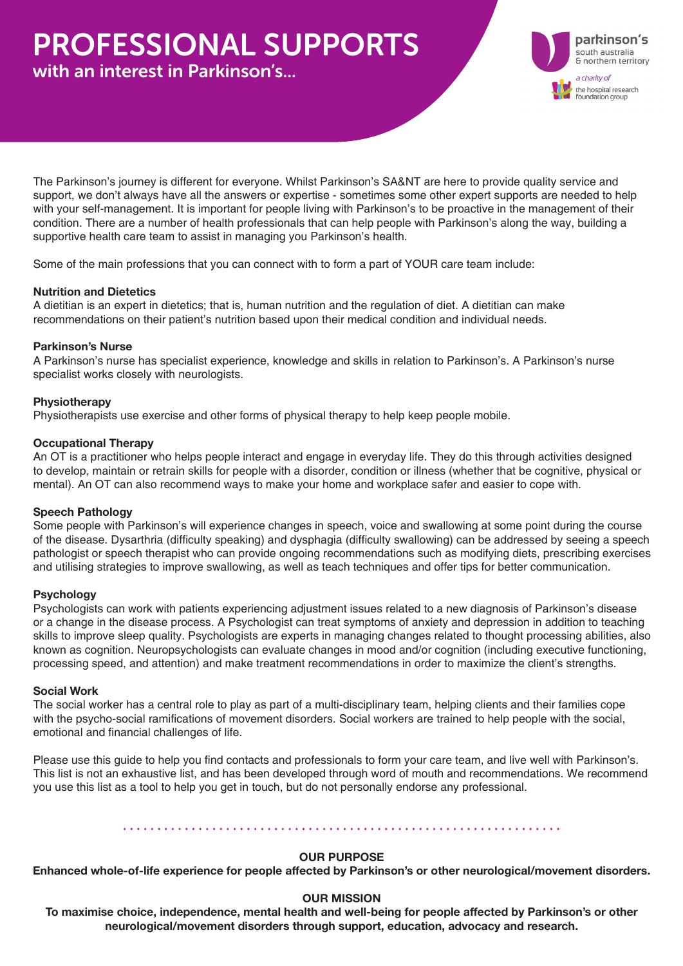# PROFESSIONAL SUPPORTS

with an interest in Parkinson's...



The Parkinson's journey is different for everyone. Whilst Parkinson's SA&NT are here to provide quality service and support, we don't always have all the answers or expertise - sometimes some other expert supports are needed to help with your self-management. It is important for people living with Parkinson's to be proactive in the management of their condition. There are a number of health professionals that can help people with Parkinson's along the way, building a supportive health care team to assist in managing you Parkinson's health.

Some of the main professions that you can connect with to form a part of YOUR care team include:

#### **Nutrition and Dietetics**

A dietitian is an expert in dietetics; that is, human nutrition and the regulation of diet. A dietitian can make recommendations on their patient's nutrition based upon their medical condition and individual needs.

#### **Parkinson's Nurse**

A Parkinson's nurse has specialist experience, knowledge and skills in relation to Parkinson's. A Parkinson's nurse specialist works closely with neurologists.

#### **Physiotherapy**

Physiotherapists use exercise and other forms of physical therapy to help keep people mobile.

#### **Occupational Therapy**

An OT is a practitioner who helps people interact and engage in everyday life. They do this through activities designed to develop, maintain or retrain skills for people with a disorder, condition or illness (whether that be cognitive, physical or mental). An OT can also recommend ways to make your home and workplace safer and easier to cope with.

#### **Speech Pathology**

Some people with Parkinson's will experience changes in speech, voice and swallowing at some point during the course of the disease. Dysarthria (difficulty speaking) and dysphagia (difficulty swallowing) can be addressed by seeing a speech pathologist or speech therapist who can provide ongoing recommendations such as modifying diets, prescribing exercises and utilising strategies to improve swallowing, as well as teach techniques and offer tips for better communication.

#### **Psychology**

Psychologists can work with patients experiencing adjustment issues related to a new diagnosis of Parkinson's disease or a change in the disease process. A Psychologist can treat symptoms of anxiety and depression in addition to teaching skills to improve sleep quality. Psychologists are experts in managing changes related to thought processing abilities, also known as cognition. Neuropsychologists can evaluate changes in mood and/or cognition (including executive functioning, processing speed, and attention) and make treatment recommendations in order to maximize the client's strengths.

#### **Social Work**

The social worker has a central role to play as part of a multi-disciplinary team, helping clients and their families cope with the psycho-social ramifications of movement disorders. Social workers are trained to help people with the social, emotional and financial challenges of life.

Please use this guide to help you find contacts and professionals to form your care team, and live well with Parkinson's. This list is not an exhaustive list, and has been developed through word of mouth and recommendations. We recommend you use this list as a tool to help you get in touch, but do not personally endorse any professional.

#### 

#### **OUR PURPOSE**

**Enhanced whole-of-life experience for people affected by Parkinson's or other neurological/movement disorders.**

#### **OUR MISSION**

**To maximise choice, independence, mental health and well-being for people affected by Parkinson's or other neurological/movement disorders through support, education, advocacy and research.**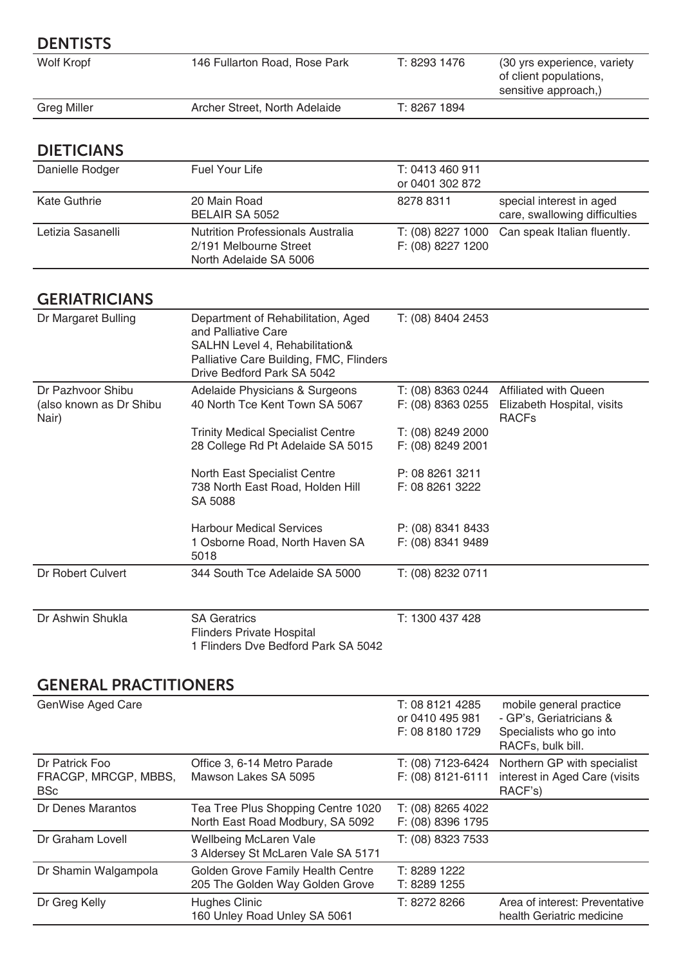| <b>DENTISTS</b>                                       |                                                                                                                                                                      |                                        |                                                                                       |
|-------------------------------------------------------|----------------------------------------------------------------------------------------------------------------------------------------------------------------------|----------------------------------------|---------------------------------------------------------------------------------------|
| <b>Wolf Kropf</b>                                     | 146 Fullarton Road, Rose Park                                                                                                                                        | T: 8293 1476                           | (30 yrs experience, variety<br>of client populations,<br>sensitive approach,)         |
| <b>Greg Miller</b>                                    | Archer Street, North Adelaide                                                                                                                                        | T: 8267 1894                           |                                                                                       |
| <b>DIETICIANS</b>                                     |                                                                                                                                                                      |                                        |                                                                                       |
| Danielle Rodger                                       | <b>Fuel Your Life</b>                                                                                                                                                | T: 0413 460 911<br>or 0401 302 872     |                                                                                       |
| <b>Kate Guthrie</b>                                   | 20 Main Road<br><b>BELAIR SA 5052</b>                                                                                                                                | 8278 8311                              | special interest in aged<br>care, swallowing difficulties                             |
| Letizia Sasanelli                                     | <b>Nutrition Professionals Australia</b><br>2/191 Melbourne Street<br>North Adelaide SA 5006                                                                         | T: (08) 8227 1000<br>F: (08) 8227 1200 | Can speak Italian fluently.                                                           |
| <b>GERIATRICIANS</b>                                  |                                                                                                                                                                      |                                        |                                                                                       |
| Dr Margaret Bulling                                   | Department of Rehabilitation, Aged<br>and Palliative Care<br>SALHN Level 4, Rehabilitation&<br>Palliative Care Building, FMC, Flinders<br>Drive Bedford Park SA 5042 | T: (08) 8404 2453                      |                                                                                       |
| Dr Pazhvoor Shibu<br>(also known as Dr Shibu<br>Nair) | Adelaide Physicians & Surgeons<br>40 North Tce Kent Town SA 5067<br><b>Trinity Medical Specialist Centre</b>                                                         | F: (08) 8363 0255<br>T: (08) 8249 2000 | T: (08) 8363 0244 Affiliated with Queen<br>Elizabeth Hospital, visits<br><b>RACFs</b> |
|                                                       | 28 College Rd Pt Adelaide SA 5015                                                                                                                                    | F: (08) 8249 2001                      |                                                                                       |
|                                                       | North East Specialist Centre<br>738 North East Road, Holden Hill<br>SA 5088                                                                                          | P: 08 8261 3211<br>F: 08 8261 3222     |                                                                                       |
|                                                       | <b>Harbour Medical Services</b><br>1 Osborne Road, North Haven SA                                                                                                    | P: (08) 8341 8433<br>F: (08) 8341 9489 |                                                                                       |

5018 Dr Robert Culvert 344 South Tce Adelaide SA 5000 T: (08) 8232 0711

| Dr Ashwin Shukla | <b>SA Geratrics</b>                 | T: 1300 437 428 |
|------------------|-------------------------------------|-----------------|
|                  | Flinders Private Hospital           |                 |
|                  | 1 Flinders Dve Bedford Park SA 5042 |                 |

# GENERAL PRACTITIONERS

| GenWise Aged Care                                    |                                                                        | T: 08 8121 4285<br>or 0410 495 981<br>F: 08 8180 1729 | mobile general practice<br>- GP's, Geriatricians &<br>Specialists who go into<br>RACFs, bulk bill. |
|------------------------------------------------------|------------------------------------------------------------------------|-------------------------------------------------------|----------------------------------------------------------------------------------------------------|
| Dr Patrick Foo<br>FRACGP, MRCGP, MBBS,<br><b>BSc</b> | Office 3, 6-14 Metro Parade<br>Mawson Lakes SA 5095                    | T: (08) 7123-6424<br>F: (08) 8121-6111                | Northern GP with specialist<br>interest in Aged Care (visits<br>RACF's)                            |
| Dr Denes Marantos                                    | Tea Tree Plus Shopping Centre 1020<br>North East Road Modbury, SA 5092 | T: (08) 8265 4022<br>F: (08) 8396 1795                |                                                                                                    |
| Dr Graham Lovell                                     | <b>Wellbeing McLaren Vale</b><br>3 Aldersey St McLaren Vale SA 5171    | T: (08) 8323 7533                                     |                                                                                                    |
| Dr Shamin Walgampola                                 | Golden Grove Family Health Centre<br>205 The Golden Way Golden Grove   | T: 8289 1222<br>T: 8289 1255                          |                                                                                                    |
| Dr Greg Kelly                                        | <b>Hughes Clinic</b><br>160 Unley Road Unley SA 5061                   | T: 8272 8266                                          | Area of interest: Preventative<br>health Geriatric medicine                                        |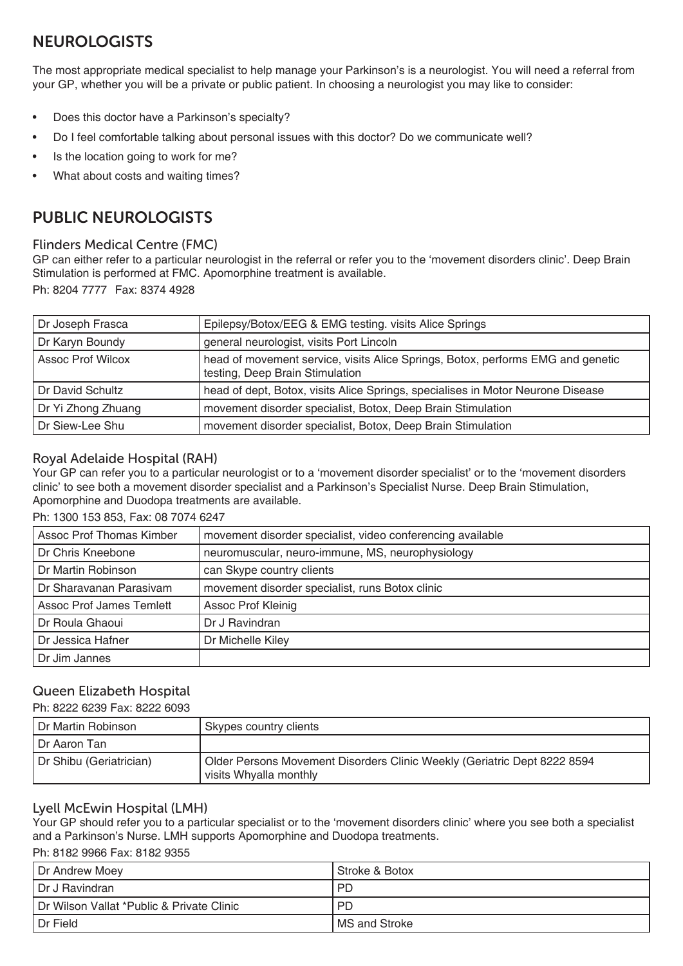# NEUROLOGISTS

The most appropriate medical specialist to help manage your Parkinson's is a neurologist. You will need a referral from your GP, whether you will be a private or public patient. In choosing a neurologist you may like to consider:

- Does this doctor have a Parkinson's specialty?
- Do I feel comfortable talking about personal issues with this doctor? Do we communicate well?
- Is the location going to work for me?
- What about costs and waiting times?

# PUBLIC NEUROLOGISTS

## Flinders Medical Centre (FMC)

GP can either refer to a particular neurologist in the referral or refer you to the 'movement disorders clinic'. Deep Brain Stimulation is performed at FMC. Apomorphine treatment is available.

Ph: 8204 7777 Fax: 8374 4928

| Dr Joseph Frasca         | Epilepsy/Botox/EEG & EMG testing. visits Alice Springs                                                             |
|--------------------------|--------------------------------------------------------------------------------------------------------------------|
| Dr Karyn Boundy          | general neurologist, visits Port Lincoln                                                                           |
| <b>Assoc Prof Wilcox</b> | head of movement service, visits Alice Springs, Botox, performs EMG and genetic<br>testing, Deep Brain Stimulation |
| Dr David Schultz         | head of dept, Botox, visits Alice Springs, specialises in Motor Neurone Disease                                    |
| Dr Yi Zhong Zhuang       | movement disorder specialist, Botox, Deep Brain Stimulation                                                        |
| Dr Siew-Lee Shu          | movement disorder specialist, Botox, Deep Brain Stimulation                                                        |

## Royal Adelaide Hospital (RAH)

Your GP can refer you to a particular neurologist or to a 'movement disorder specialist' or to the 'movement disorders clinic' to see both a movement disorder specialist and a Parkinson's Specialist Nurse. Deep Brain Stimulation, Apomorphine and Duodopa treatments are available.

#### Ph: 1300 153 853, Fax: 08 7074 6247

| Assoc Prof Thomas Kimber        | movement disorder specialist, video conferencing available |
|---------------------------------|------------------------------------------------------------|
| Dr Chris Kneebone               | neuromuscular, neuro-immune, MS, neurophysiology           |
| Dr Martin Robinson              | can Skype country clients                                  |
| Dr Sharavanan Parasivam         | movement disorder specialist, runs Botox clinic            |
| <b>Assoc Prof James Temlett</b> | <b>Assoc Prof Kleinig</b>                                  |
| Dr Roula Ghaoui                 | Dr J Ravindran                                             |
| Dr Jessica Hafner               | Dr Michelle Kiley                                          |
| Dr Jim Jannes                   |                                                            |

# Queen Elizabeth Hospital

#### Ph: 8222 6239 Fax: 8222 6093

| l Dr Martin Robinson    | Skypes country clients                                                                             |
|-------------------------|----------------------------------------------------------------------------------------------------|
| l Dr Aaron Tan          |                                                                                                    |
| Dr Shibu (Geriatrician) | Older Persons Movement Disorders Clinic Weekly (Geriatric Dept 8222 8594<br>visits Whyalla monthly |

## Lyell McEwin Hospital (LMH)

Your GP should refer you to a particular specialist or to the 'movement disorders clinic' where you see both a specialist and a Parkinson's Nurse. LMH supports Apomorphine and Duodopa treatments.

#### Ph: 8182 9966 Fax: 8182 9355

| Dr Andrew Moey                            | l Stroke & Botox |
|-------------------------------------------|------------------|
| I Dr J Ravindran                          | <b>PD</b>        |
| Dr Wilson Vallat *Public & Private Clinic | <b>PD</b>        |
| I Dr Field                                | I MS and Stroke  |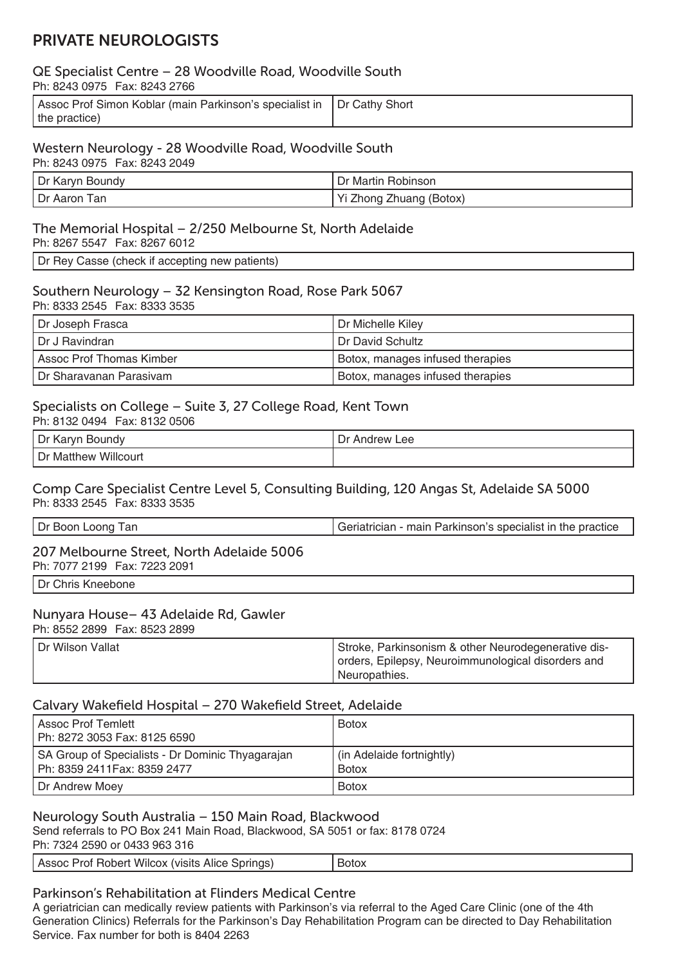# PRIVATE NEUROLOGISTS

## QE Specialist Centre – 28 Woodville Road, Woodville South

Ph: 8243 0975 Fax: 8243 2766

| Assoc Prof Simon Koblar (main Parkinson's specialist in   Dr Cathy Short |  |
|--------------------------------------------------------------------------|--|
| the practice)                                                            |  |

## Western Neurology - 28 Woodville Road, Woodville South

Ph: 8243 0975 Fax: 8243 2049

| , Dr K<br>Boundy<br>Karyn | <sup>.</sup> Martin Robinson<br>Dr. |
|---------------------------|-------------------------------------|
| ' Dr Aaron<br>'an         | vi<br>' Zhuang (Botox)<br>∠hong     |

# The Memorial Hospital – 2/250 Melbourne St, North Adelaide

Ph: 8267 5547 Fax: 8267 6012

Dr Rey Casse (check if accepting new patients)

#### Southern Neurology – 32 Kensington Road, Rose Park 5067 Ph: 8333 2545 Fax: 8333 3535

| Dr Joseph Frasca          | Dr Michelle Kiley                |
|---------------------------|----------------------------------|
| I Dr J Ravindran          | I Dr David Schultz               |
| Assoc Prof Thomas Kimber  | Botox, manages infused therapies |
| I Dr Sharavanan Parasivam | Botox, manages infused therapies |

## Specialists on College – Suite 3, 27 College Road, Kent Town

Ph: 8132 0494 Fax: 8132 0506 Dr Karyn Boundy **Dr Andrew Lee** Dr Matthew Willcourt

### Comp Care Specialist Centre Level 5, Consulting Building, 120 Angas St, Adelaide SA 5000 Ph: 8333 2545 Fax: 8333 3535

# 207 Melbourne Street, North Adelaide 5006

Ph: 7077 2199 Fax: 7223 2091

Dr Chris Kneebone

## Nunyara House– 43 Adelaide Rd, Gawler

Ph: 8552 2899 Fax: 8523 2899

| Dr Wilson Vallat | Stroke, Parkinsonism & other Neurodegenerative dis- |
|------------------|-----------------------------------------------------|
|                  | orders, Epilepsy, Neuroimmunological disorders and  |
|                  | ' Neuropathies.                                     |

## Calvary Wakefield Hospital – 270 Wakefield Street, Adelaide

| Assoc Prof Temlett<br>Ph: 8272 3053 Fax: 8125 6590                               | <b>Botox</b>                              |
|----------------------------------------------------------------------------------|-------------------------------------------|
| SA Group of Specialists - Dr Dominic Thyagarajan<br>Ph: 8359 2411 Fax: 8359 2477 | (in Adelaide fortnightly)<br><b>Botox</b> |
| Dr Andrew Moey                                                                   | <b>Botox</b>                              |

## Neurology South Australia – 150 Main Road, Blackwood

Send referrals to PO Box 241 Main Road, Blackwood, SA 5051 or fax: 8178 0724

Ph: 7324 2590 or 0433 963 316

| Assoc Prof Robert Wilcox (visits Alice Springs) | <b>BOIO</b> |
|-------------------------------------------------|-------------|
|                                                 |             |

# Parkinson's Rehabilitation at Flinders Medical Centre

A geriatrician can medically review patients with Parkinson's via referral to the Aged Care Clinic (one of the 4th Generation Clinics) Referrals for the Parkinson's Day Rehabilitation Program can be directed to Day Rehabilitation Service. Fax number for both is 8404 2263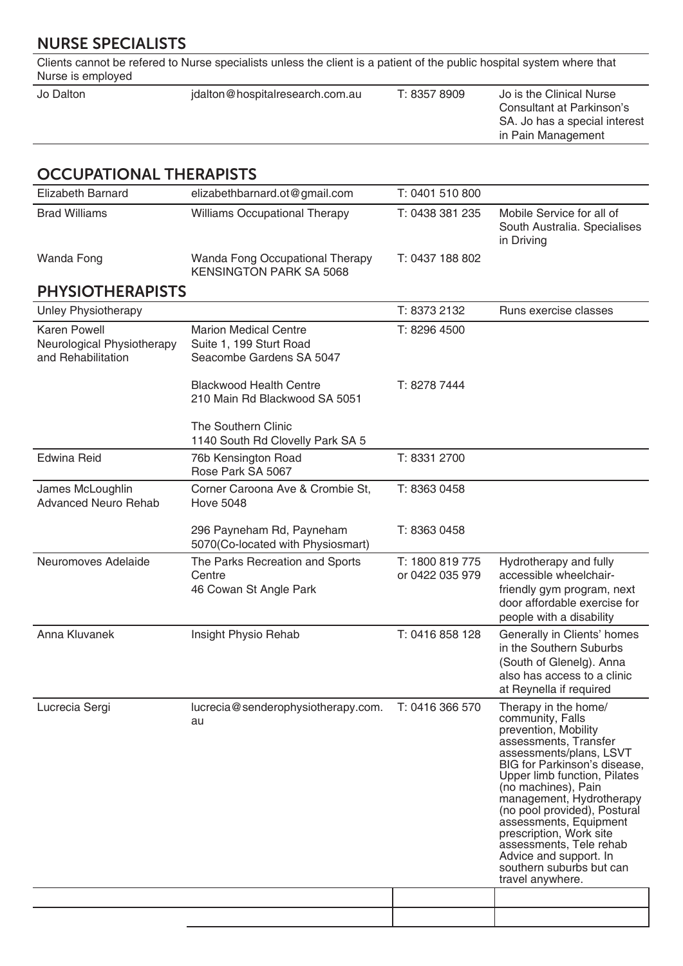# NURSE SPECIALISTS

Clients cannot be refered to Nurse specialists unless the client is a patient of the public hospital system where that Nurse is employed

|  | Jo is the Clinical Nurse<br>Consultant at Parkinson's<br>SA. Jo has a special interest<br>in Pain Management |
|--|--------------------------------------------------------------------------------------------------------------|
|--|--------------------------------------------------------------------------------------------------------------|

# OCCUPATIONAL THERAPISTS

| <b>Elizabeth Barnard</b>                                                | elizabethbarnard.ot@gmail.com                                                       | T: 0401 510 800                    |                                                                                                                                                                                                                                                                                                                                                                                                                                   |
|-------------------------------------------------------------------------|-------------------------------------------------------------------------------------|------------------------------------|-----------------------------------------------------------------------------------------------------------------------------------------------------------------------------------------------------------------------------------------------------------------------------------------------------------------------------------------------------------------------------------------------------------------------------------|
| <b>Brad Williams</b>                                                    | <b>Williams Occupational Therapy</b>                                                | T: 0438 381 235                    | Mobile Service for all of<br>South Australia. Specialises<br>in Driving                                                                                                                                                                                                                                                                                                                                                           |
| Wanda Fong                                                              | Wanda Fong Occupational Therapy<br><b>KENSINGTON PARK SA 5068</b>                   | T: 0437 188 802                    |                                                                                                                                                                                                                                                                                                                                                                                                                                   |
| <b>PHYSIOTHERAPISTS</b>                                                 |                                                                                     |                                    |                                                                                                                                                                                                                                                                                                                                                                                                                                   |
| <b>Unley Physiotherapy</b>                                              |                                                                                     | T: 8373 2132                       | Runs exercise classes                                                                                                                                                                                                                                                                                                                                                                                                             |
| <b>Karen Powell</b><br>Neurological Physiotherapy<br>and Rehabilitation | <b>Marion Medical Centre</b><br>Suite 1, 199 Sturt Road<br>Seacombe Gardens SA 5047 | T: 8296 4500                       |                                                                                                                                                                                                                                                                                                                                                                                                                                   |
|                                                                         | <b>Blackwood Health Centre</b><br>210 Main Rd Blackwood SA 5051                     | T: 8278 7444                       |                                                                                                                                                                                                                                                                                                                                                                                                                                   |
|                                                                         | <b>The Southern Clinic</b><br>1140 South Rd Clovelly Park SA 5                      |                                    |                                                                                                                                                                                                                                                                                                                                                                                                                                   |
| <b>Edwina Reid</b>                                                      | 76b Kensington Road<br>Rose Park SA 5067                                            | T: 8331 2700                       |                                                                                                                                                                                                                                                                                                                                                                                                                                   |
| James McLoughlin<br><b>Advanced Neuro Rehab</b>                         | Corner Caroona Ave & Crombie St,<br><b>Hove 5048</b>                                | T: 8363 0458                       |                                                                                                                                                                                                                                                                                                                                                                                                                                   |
|                                                                         | 296 Payneham Rd, Payneham<br>5070(Co-located with Physiosmart)                      | T: 8363 0458                       |                                                                                                                                                                                                                                                                                                                                                                                                                                   |
| Neuromoves Adelaide                                                     | The Parks Recreation and Sports<br>Centre<br>46 Cowan St Angle Park                 | T: 1800 819 775<br>or 0422 035 979 | Hydrotherapy and fully<br>accessible wheelchair-<br>friendly gym program, next<br>door affordable exercise for<br>people with a disability                                                                                                                                                                                                                                                                                        |
| Anna Kluvanek                                                           | Insight Physio Rehab                                                                | T: 0416 858 128                    | Generally in Clients' homes<br>in the Southern Suburbs<br>(South of Glenelg). Anna<br>also has access to a clinic<br>at Reynella if required                                                                                                                                                                                                                                                                                      |
| Lucrecia Sergi                                                          | lucrecia@senderophysiotherapy.com.<br>au                                            | T: 0416 366 570                    | Therapy in the home/<br>community, Falls<br>prevention, Mobility<br>assessments, Transfer<br>assessments/plans, LSVT<br>BIG for Parkinson's disease,<br>Upper limb function, Pilates<br>(no machines), Pain<br>management, Hydrotherapy<br>(no pool provided), Postural<br>assessments, Equipment<br>prescription, Work site<br>assessments, Tele rehab<br>Advice and support. In<br>southern suburbs but can<br>travel anywhere. |
|                                                                         |                                                                                     |                                    |                                                                                                                                                                                                                                                                                                                                                                                                                                   |
|                                                                         |                                                                                     |                                    |                                                                                                                                                                                                                                                                                                                                                                                                                                   |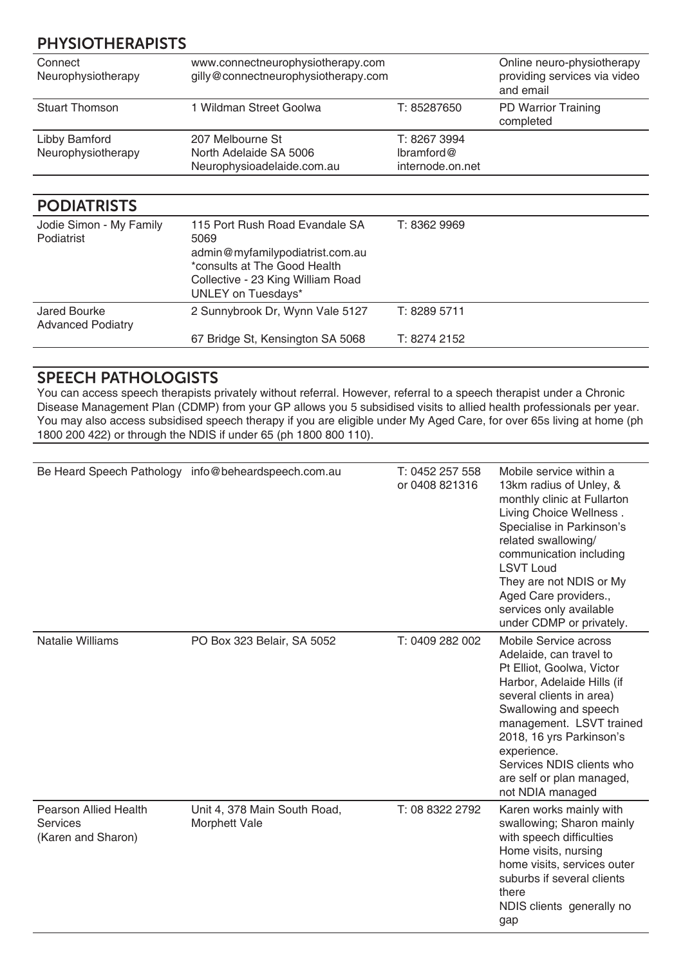# PHYSIOTHERAPISTS

| Connect<br>Neurophysiotherapy       | www.connectneurophysiotherapy.com<br>gilly@connectneurophysiotherapy.com |                                                | Online neuro-physiotherapy<br>providing services via video<br>and email |
|-------------------------------------|--------------------------------------------------------------------------|------------------------------------------------|-------------------------------------------------------------------------|
| <b>Stuart Thomson</b>               | 1 Wildman Street Goolwa                                                  | T: 85287650                                    | PD Warrior Training<br>completed                                        |
| Libby Bamford<br>Neurophysiotherapy | 207 Melbourne St<br>North Adelaide SA 5006<br>Neurophysioadelaide.com.au | T: 8267 3994<br>lbramford@<br>internode.on.net |                                                                         |

# PODIATRISTS

| Jodie Simon - My Family<br>Podiatrist    | 115 Port Rush Road Evandale SA<br>5069<br>admin@myfamilypodiatrist.com.au<br>*consults at The Good Health<br>Collective - 23 King William Road<br><b>UNLEY on Tuesdays*</b> | T: 8362 9969 |
|------------------------------------------|-----------------------------------------------------------------------------------------------------------------------------------------------------------------------------|--------------|
| Jared Bourke<br><b>Advanced Podiatry</b> | 2 Sunnybrook Dr, Wynn Vale 5127                                                                                                                                             | T: 8289 5711 |
|                                          | 67 Bridge St, Kensington SA 5068                                                                                                                                            | T: 8274 2152 |

# SPEECH PATHOLOGISTS

You can access speech therapists privately without referral. However, referral to a speech therapist under a Chronic Disease Management Plan (CDMP) from your GP allows you 5 subsidised visits to allied health professionals per year. You may also access subsidised speech therapy if you are eligible under My Aged Care, for over 65s living at home (ph 1800 200 422) or through the NDIS if under 65 (ph 1800 800 110).

|                                                                | Be Heard Speech Pathology info@beheardspeech.com.au | T: 0452 257 558<br>or 0408 821316 | Mobile service within a<br>13km radius of Unley, &<br>monthly clinic at Fullarton<br>Living Choice Wellness.<br>Specialise in Parkinson's<br>related swallowing/<br>communication including<br><b>LSVT Loud</b><br>They are not NDIS or My<br>Aged Care providers.,<br>services only available<br>under CDMP or privately. |
|----------------------------------------------------------------|-----------------------------------------------------|-----------------------------------|----------------------------------------------------------------------------------------------------------------------------------------------------------------------------------------------------------------------------------------------------------------------------------------------------------------------------|
| <b>Natalie Williams</b>                                        | PO Box 323 Belair, SA 5052                          | T: 0409 282 002                   | Mobile Service across<br>Adelaide, can travel to<br>Pt Elliot, Goolwa, Victor<br>Harbor, Adelaide Hills (if<br>several clients in area)<br>Swallowing and speech<br>management. LSVT trained<br>2018, 16 yrs Parkinson's<br>experience.<br>Services NDIS clients who<br>are self or plan managed,<br>not NDIA managed      |
| <b>Pearson Allied Health</b><br>Services<br>(Karen and Sharon) | Unit 4, 378 Main South Road,<br>Morphett Vale       | T: 08 8322 2792                   | Karen works mainly with<br>swallowing; Sharon mainly<br>with speech difficulties<br>Home visits, nursing<br>home visits, services outer<br>suburbs if several clients<br>there<br>NDIS clients generally no<br>gap                                                                                                         |